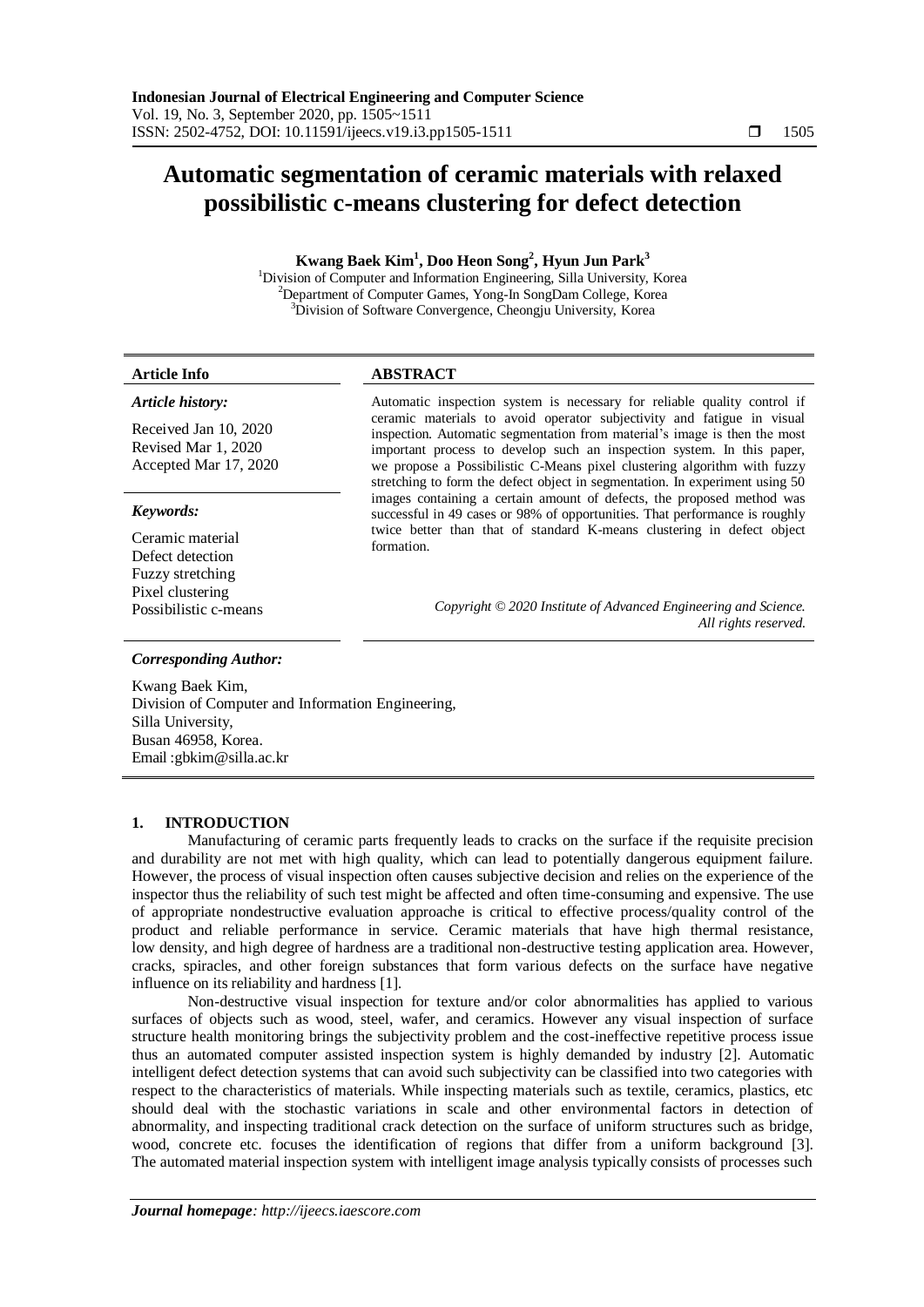# **Automatic segmentation of ceramic materials with relaxed possibilistic c-means clustering for defect detection**

# **Kwang Baek Kim<sup>1</sup> , Doo Heon Song<sup>2</sup> , Hyun Jun Park<sup>3</sup>**

<sup>1</sup>Division of Computer and Information Engineering, Silla University, Korea <sup>2</sup>Department of Computer Games, Yong-In SongDam College, Korea <sup>3</sup>Division of Software Convergence, Cheongju University, Korea

# **Article Info ABSTRACT**

# *Article history:*

Received Jan 10, 2020 Revised Mar 1, 2020 Accepted Mar 17, 2020

# *Keywords:*

Ceramic material Defect detection Fuzzy stretching Pixel clustering

### Automatic inspection system is necessary for reliable quality control if ceramic materials to avoid operator subjectivity and fatigue in visual inspection. Automatic segmentation from material's image is then the most important process to develop such an inspection system. In this paper, we propose a Possibilistic C-Means pixel clustering algorithm with fuzzy stretching to form the defect object in segmentation. In experiment using 50 images containing a certain amount of defects, the proposed method was successful in 49 cases or 98% of opportunities. That performance is roughly twice better than that of standard K-means clustering in defect object formation.

Possibilistic c-means *Copyright © 2020 Institute of Advanced Engineering and Science. All rights reserved.*

# *Corresponding Author:*

Kwang Baek Kim, Division of Computer and Information Engineering, Silla University, Busan 46958, Korea. Email :gbkim@silla.ac.kr

# **1. INTRODUCTION**

Manufacturing of ceramic parts frequently leads to cracks on the surface if the requisite precision and durability are not met with high quality, which can lead to potentially dangerous equipment failure. However, the process of visual inspection often causes subjective decision and relies on the experience of the inspector thus the reliability of such test might be affected and often time-consuming and expensive. The use of appropriate nondestructive evaluation approache is critical to effective process/quality control of the product and reliable performance in service. Ceramic materials that have high thermal resistance, low density, and high degree of hardness are a traditional non-destructive testing application area. However, cracks, spiracles, and other foreign substances that form various defects on the surface have negative influence on its reliability and hardness [1].

Non-destructive visual inspection for texture and/or color abnormalities has applied to various surfaces of objects such as wood, steel, wafer, and ceramics. However any visual inspection of surface structure health monitoring brings the subjectivity problem and the cost-ineffective repetitive process issue thus an automated computer assisted inspection system is highly demanded by industry [2]. Automatic intelligent defect detection systems that can avoid such subjectivity can be classified into two categories with respect to the characteristics of materials. While inspecting materials such as textile, ceramics, plastics, etc should deal with the stochastic variations in scale and other environmental factors in detection of abnormality, and inspecting traditional crack detection on the surface of uniform structures such as bridge, wood, concrete etc. focuses the identification of regions that differ from a uniform background [3]. The automated material inspection system with intelligent image analysis typically consists of processes such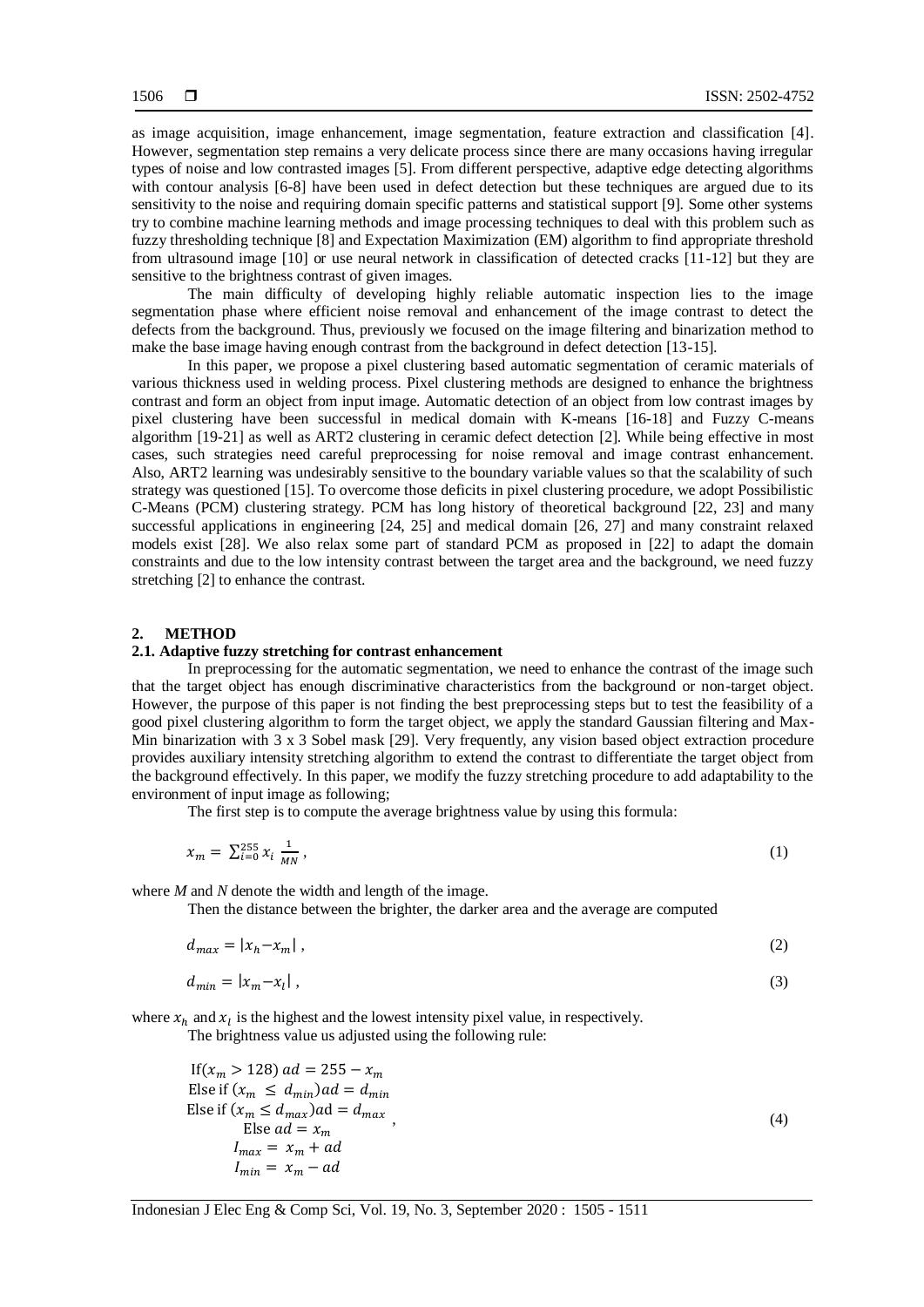as image acquisition, image enhancement, image segmentation, feature extraction and classification [4]. However, segmentation step remains a very delicate process since there are many occasions having irregular types of noise and low contrasted images [5]. From different perspective, adaptive edge detecting algorithms with contour analysis [6-8] have been used in defect detection but these techniques are argued due to its sensitivity to the noise and requiring domain specific patterns and statistical support [9]. Some other systems try to combine machine learning methods and image processing techniques to deal with this problem such as fuzzy thresholding technique [8] and Expectation Maximization (EM) algorithm to find appropriate threshold from ultrasound image [10] or use neural network in classification of detected cracks [11-12] but they are sensitive to the brightness contrast of given images.

The main difficulty of developing highly reliable automatic inspection lies to the image segmentation phase where efficient noise removal and enhancement of the image contrast to detect the defects from the background. Thus, previously we focused on the image filtering and binarization method to make the base image having enough contrast from the background in defect detection [13-15].

In this paper, we propose a pixel clustering based automatic segmentation of ceramic materials of various thickness used in welding process. Pixel clustering methods are designed to enhance the brightness contrast and form an object from input image. Automatic detection of an object from low contrast images by pixel clustering have been successful in medical domain with K-means [16-18] and Fuzzy C-means algorithm [19-21] as well as ART2 clustering in ceramic defect detection [2]. While being effective in most cases, such strategies need careful preprocessing for noise removal and image contrast enhancement. Also, ART2 learning was undesirably sensitive to the boundary variable values so that the scalability of such strategy was questioned [15]. To overcome those deficits in pixel clustering procedure, we adopt Possibilistic C-Means (PCM) clustering strategy. PCM has long history of theoretical background [22, 23] and many successful applications in engineering [24, 25] and medical domain [26, 27] and many constraint relaxed models exist [28]. We also relax some part of standard PCM as proposed in [22] to adapt the domain constraints and due to the low intensity contrast between the target area and the background, we need fuzzy stretching [2] to enhance the contrast.

### **2. METHOD**

### **2.1. Adaptive fuzzy stretching for contrast enhancement**

In preprocessing for the automatic segmentation, we need to enhance the contrast of the image such that the target object has enough discriminative characteristics from the background or non-target object. However, the purpose of this paper is not finding the best preprocessing steps but to test the feasibility of a good pixel clustering algorithm to form the target object, we apply the standard Gaussian filtering and Max-Min binarization with 3 x 3 Sobel mask [29]. Very frequently, any vision based object extraction procedure provides auxiliary intensity stretching algorithm to extend the contrast to differentiate the target object from the background effectively. In this paper, we modify the fuzzy stretching procedure to add adaptability to the environment of input image as following;

The first step is to compute the average brightness value by using this formula:

$$
x_m = \sum_{i=0}^{255} x_i \frac{1}{MN}, \tag{1}
$$

where *M* and *N* denote the width and length of the image.

Then the distance between the brighter, the darker area and the average are computed

$$
d_{max} = |x_h - x_m| \tag{2}
$$

$$
d_{min} = |x_m - x_l| \tag{3}
$$

where  $x_h$  and  $x_l$  is the highest and the lowest intensity pixel value, in respectively.

The brightness value us adjusted using the following rule:

If 
$$
(x_m > 128)
$$
 ad = 255 -  $x_m$   
\nElse if  $(x_m \le d_{min})ad = d_{min}$   
\nElse if  $(x_m \le d_{max})ad = d_{max}$   
\nElse ad =  $x_m$   
\n $I_{max} = x_m + ad$   
\n $I_{min} = x_m - ad$  (4)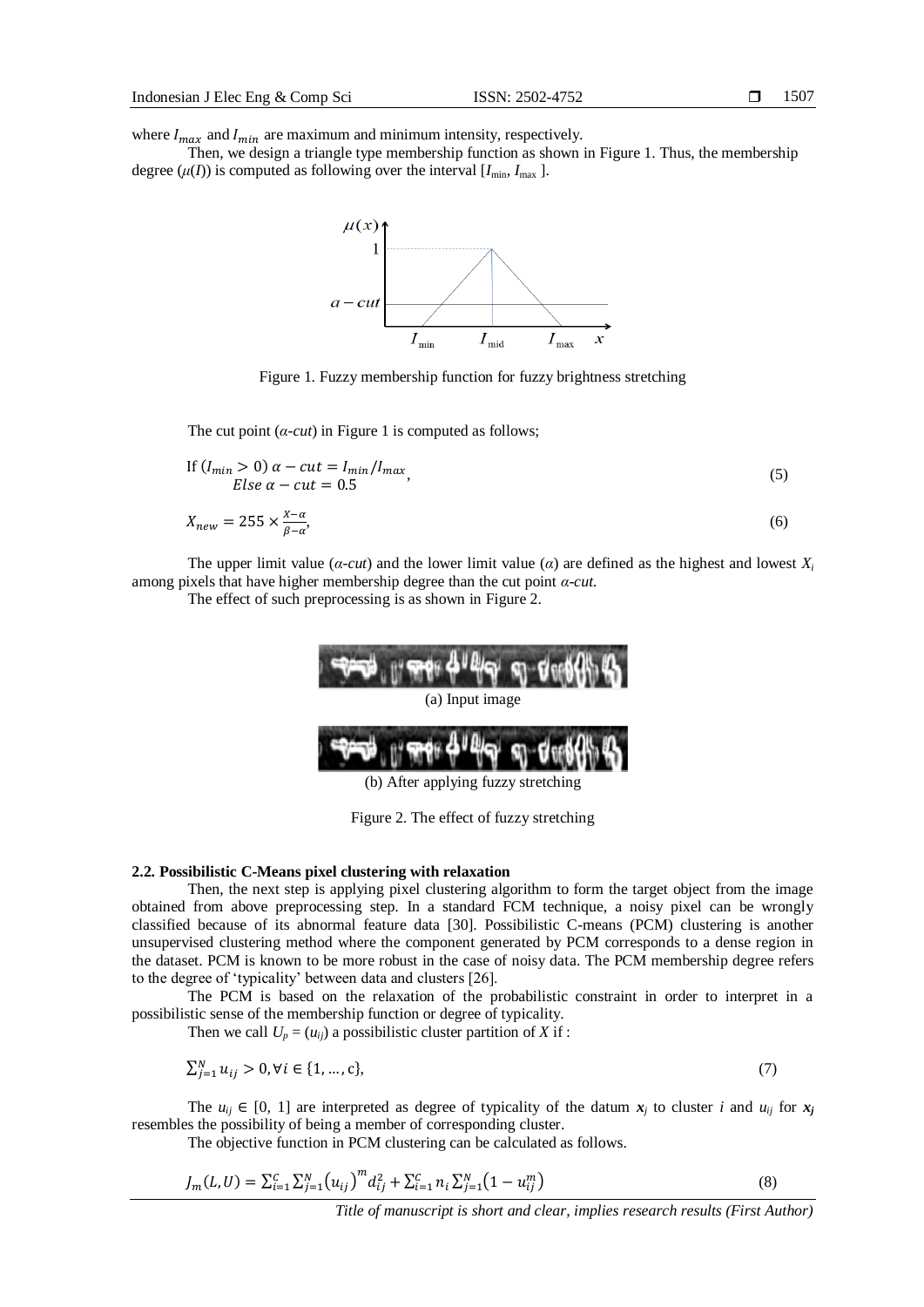where  $I_{max}$  and  $I_{min}$  are maximum and minimum intensity, respectively.

Then, we design a triangle type membership function as shown in Figure 1. Thus, the membership degree  $(\mu(I))$  is computed as following over the interval  $[I_{min}, I_{max}]$ .



Figure 1. Fuzzy membership function for fuzzy brightness stretching

The cut point  $(a$ -*cut*) in Figure 1 is computed as follows;

If 
$$
(I_{min} > 0) \alpha - cut = I_{min}/I_{max}
$$
,  
Else  $\alpha - cut = 0.5$  (5)

$$
X_{new} = 255 \times \frac{X - \alpha}{\beta - \alpha},\tag{6}
$$

The upper limit value ( $\alpha$ -cut) and the lower limit value ( $\alpha$ ) are defined as the highest and lowest  $X_i$ among pixels that have higher membership degree than the cut point *α-cut*.

The effect of such preprocessing is as shown in Figure 2.



### **2.2. Possibilistic C-Means pixel clustering with relaxation**

Then, the next step is applying pixel clustering algorithm to form the target object from the image obtained from above preprocessing step. In a standard FCM technique, a noisy pixel can be wrongly classified because of its abnormal feature data [30]. Possibilistic C-means (PCM) clustering is another unsupervised clustering method where the component generated by PCM corresponds to a dense region in the dataset. PCM is known to be more robust in the case of noisy data. The PCM membership degree refers to the degree of "typicality" between data and clusters [26].

The PCM is based on the relaxation of the probabilistic constraint in order to interpret in a possibilistic sense of the membership function or degree of typicality.

Then we call  $U_p = (u_{ij})$  a possibilistic cluster partition of *X* if :

$$
\sum_{j=1}^{N} u_{ij} > 0, \forall i \in \{1, ..., c\},\tag{7}
$$

The  $u_{ij} \in [0, 1]$  are interpreted as degree of typicality of the datum  $x_j$  to cluster *i* and  $u_{ij}$  for  $x_j$ resembles the possibility of being a member of corresponding cluster.

The objective function in PCM clustering can be calculated as follows.

$$
J_m(L,U) = \sum_{i=1}^{C} \sum_{j=1}^{N} (u_{ij})^m d_{ij}^2 + \sum_{i=1}^{C} n_i \sum_{j=1}^{N} (1 - u_{ij}^m)
$$
\n(8)

*Title of manuscript is short and clear, implies research results (First Author)*

(b) After applying fuzzy stretching

Figure 2. The effect of fuzzy stretching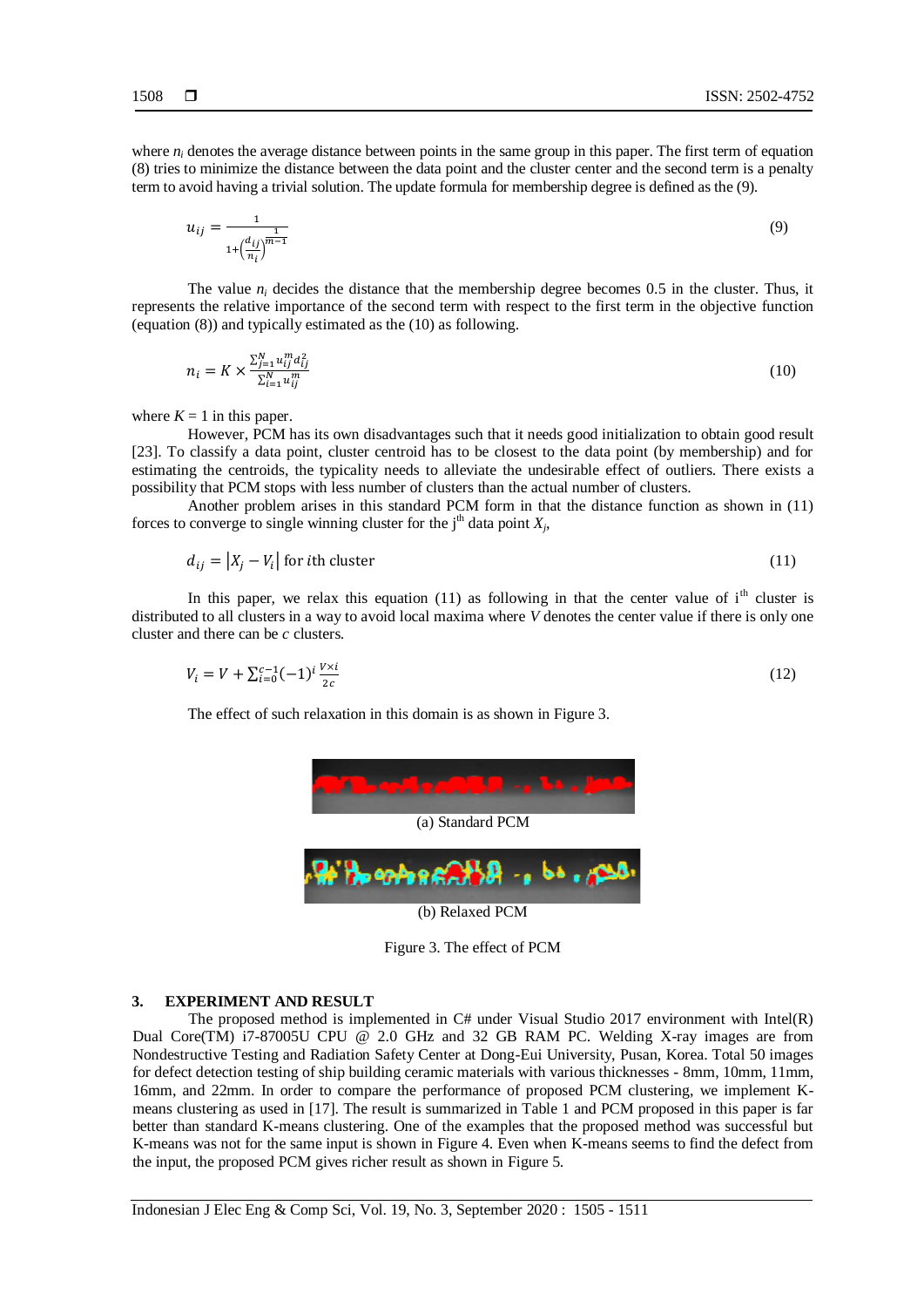where  $n_i$  denotes the average distance between points in the same group in this paper. The first term of equation (8) tries to minimize the distance between the data point and the cluster center and the second term is a penalty term to avoid having a trivial solution. The update formula for membership degree is defined as the (9).

$$
u_{ij} = \frac{1}{1 + \left(\frac{d_{ij}}{n_i}\right)^{\frac{1}{m-1}}} \tag{9}
$$

The value  $n_i$  decides the distance that the membership degree becomes 0.5 in the cluster. Thus, it represents the relative importance of the second term with respect to the first term in the objective function (equation (8)) and typically estimated as the (10) as following.

$$
n_i = K \times \frac{\sum_{j=1}^{N} u_{ij}^m d_{ij}^2}{\sum_{i=1}^{N} u_{ij}^m}
$$
\n
$$
(10)
$$

where  $K = 1$  in this paper.

However, PCM has its own disadvantages such that it needs good initialization to obtain good result [23]. To classify a data point, cluster centroid has to be closest to the data point (by membership) and for estimating the centroids, the typicality needs to alleviate the undesirable effect of outliers. There exists a possibility that PCM stops with less number of clusters than the actual number of clusters.

Another problem arises in this standard PCM form in that the distance function as shown in (11) forces to converge to single winning cluster for the j<sup>th</sup> data point  $X_j$ ,

$$
d_{ij} = |X_j - V_i| \text{ for } i \text{th cluster}
$$
\n<sup>(11)</sup>

In this paper, we relax this equation (11) as following in that the center value of  $i<sup>th</sup>$  cluster is distributed to all clusters in a way to avoid local maxima where *V* denotes the center value if there is only one cluster and there can be *c* clusters.

$$
V_i = V + \sum_{i=0}^{c-1} (-1)^i \frac{V \times i}{2c} \tag{12}
$$

The effect of such relaxation in this domain is as shown in Figure 3.



(b) Relaxed PCM

Figure 3. The effect of PCM

### **3. EXPERIMENT AND RESULT**

The proposed method is implemented in  $C#$  under Visual Studio 2017 environment with Intel(R) Dual Core(TM) i7-87005U CPU @ 2.0 GHz and 32 GB RAM PC. Welding X-ray images are from Nondestructive Testing and Radiation Safety Center at Dong-Eui University, Pusan, Korea. Total 50 images for defect detection testing of ship building ceramic materials with various thicknesses - 8mm, 10mm, 11mm, 16mm, and 22mm. In order to compare the performance of proposed PCM clustering, we implement Kmeans clustering as used in [17]. The result is summarized in Table 1 and PCM proposed in this paper is far better than standard K-means clustering. One of the examples that the proposed method was successful but K-means was not for the same input is shown in Figure 4. Even when K-means seems to find the defect from the input, the proposed PCM gives richer result as shown in Figure 5.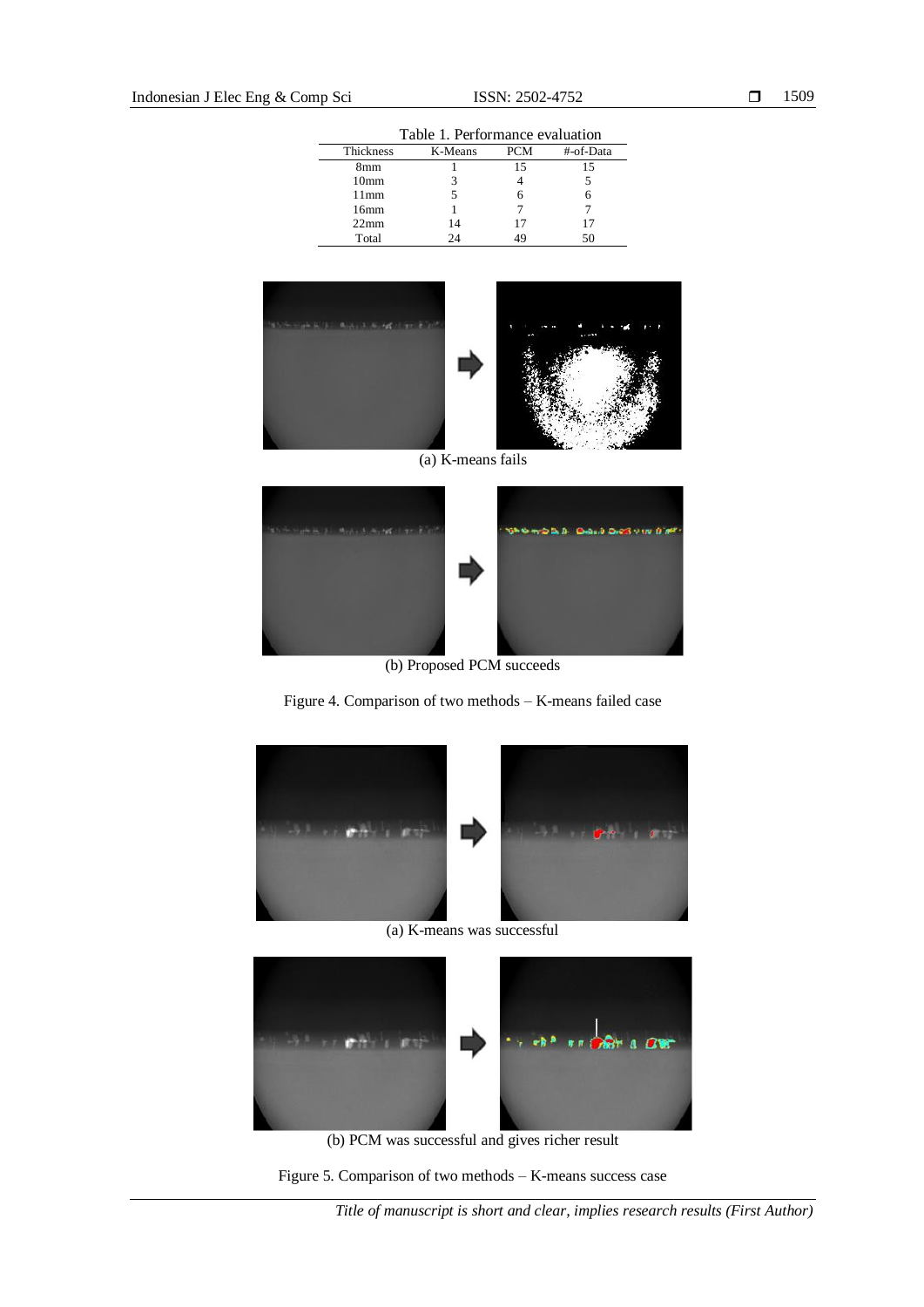| Table 1. Performance evaluation |  |
|---------------------------------|--|
|---------------------------------|--|

| Thickness        | K-Means | <b>PCM</b> | #-of-Data |
|------------------|---------|------------|-----------|
| 8mm              |         | 15         | 15        |
| 10 <sub>mm</sub> |         |            |           |
| $11$ mm          |         |            |           |
| 16mm             |         |            |           |
| 22 <sub>mm</sub> | 14      | 17         | 17        |
| Total            | 2Δ      | 19         | 50        |



(a) K-means fails



(b) Proposed PCM succeeds

Figure 4. Comparison of two methods – K-means failed case



(a) K-means was successful



(b) PCM was successful and gives richer result

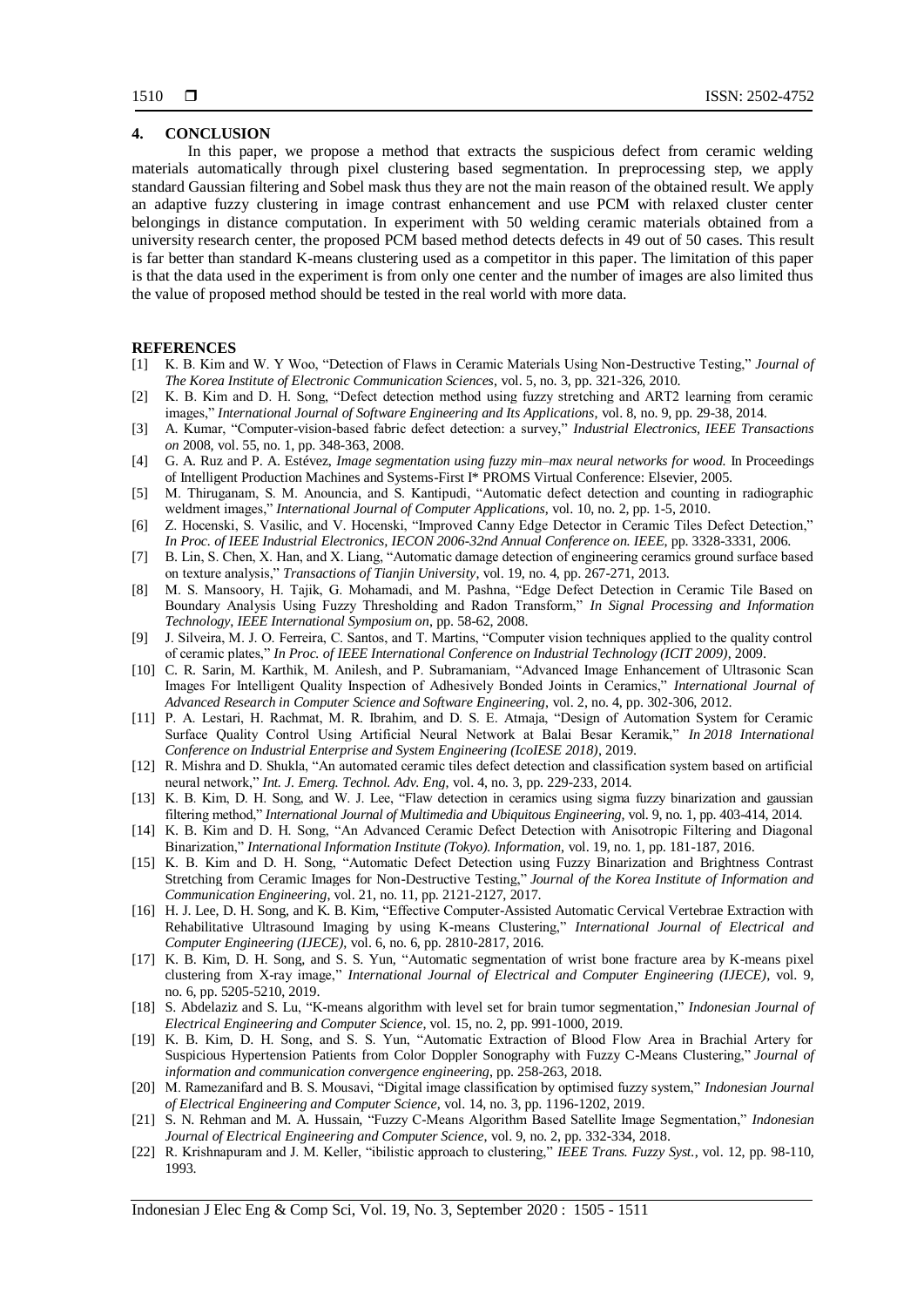# **4. CONCLUSION**

In this paper, we propose a method that extracts the suspicious defect from ceramic welding materials automatically through pixel clustering based segmentation. In preprocessing step, we apply standard Gaussian filtering and Sobel mask thus they are not the main reason of the obtained result. We apply an adaptive fuzzy clustering in image contrast enhancement and use PCM with relaxed cluster center belongings in distance computation. In experiment with 50 welding ceramic materials obtained from a university research center, the proposed PCM based method detects defects in 49 out of 50 cases. This result is far better than standard K-means clustering used as a competitor in this paper. The limitation of this paper is that the data used in the experiment is from only one center and the number of images are also limited thus the value of proposed method should be tested in the real world with more data.

### **REFERENCES**

- [1] K. B. Kim and W. Y Woo, "Detection of Flaws in Ceramic Materials Using Non-Destructive Testing," *Journal of The Korea Institute of Electronic Communication Sciences*, vol. 5, no. 3, pp. 321-326, 2010.
- [2] K. B. Kim and D. H. Song, "Defect detection method using fuzzy stretching and ART2 learning from ceramic images," *International Journal of Software Engineering and Its Applications*, vol. 8, no. 9, pp. 29-38, 2014.
- [3] A. Kumar, "Computer-vision-based fabric defect detection: a survey," *Industrial Electronics, IEEE Transactions on* 2008, vol. 55, no. 1, pp. 348-363, 2008.
- [4] G. A. Ruz and P. A. Estévez, *Image segmentation using fuzzy min–max neural networks for wood.* In Proceedings of Intelligent Production Machines and Systems-First I\* PROMS Virtual Conference: Elsevier, 2005.
- [5] M. Thiruganam, S. M. Anouncia, and S. Kantipudi, "Automatic defect detection and counting in radiographic weldment images," *International Journal of Computer Applications*, vol. 10, no. 2, pp. 1-5, 2010.
- [6] Z. Hocenski, S. Vasilic, and V. Hocenski, "Improved Canny Edge Detector in Ceramic Tiles Defect Detection," *In Proc. of IEEE Industrial Electronics, IECON 2006-32nd Annual Conference on. IEEE*, pp. 3328-3331, 2006.
- [7] B. Lin, S. Chen, X. Han, and X. Liang, "Automatic damage detection of engineering ceramics ground surface based on texture analysis," *Transactions of Tianjin University*, vol. 19, no. 4, pp. 267-271, 2013.
- [8] M. S. Mansoory, H. Tajik, G. Mohamadi, and M. Pashna, "Edge Defect Detection in Ceramic Tile Based on Boundary Analysis Using Fuzzy Thresholding and Radon Transform," *In Signal Processing and Information Technology*, *IEEE International Symposium on*, pp. 58-62, 2008.
- [9] J. Silveira, M. J. O. Ferreira, C. Santos, and T. Martins, "Computer vision techniques applied to the quality control of ceramic plates," *In Proc. of IEEE International Conference on Industrial Technology (ICIT 2009)*, 2009.
- [10] C. R. Sarin, M. Karthik, M. Anilesh, and P. Subramaniam, "Advanced Image Enhancement of Ultrasonic Scan Images For Intelligent Quality Inspection of Adhesively Bonded Joints in Ceramics," *International Journal of Advanced Research in Computer Science and Software Engineering*, vol. 2, no. 4, pp. 302-306, 2012.
- [11] P. A. Lestari, H. Rachmat, M. R. Ibrahim, and D. S. E. Atmaja, "Design of Automation System for Ceramic Surface Quality Control Using Artificial Neural Network at Balai Besar Keramik," *In 2018 International Conference on Industrial Enterprise and System Engineering (IcoIESE 2018)*, 2019.
- [12] R. Mishra and D. Shukla, "An automated ceramic tiles defect detection and classification system based on artificial neural network," *Int. J. Emerg. Technol. Adv. Eng*, vol. 4, no. 3, pp. 229-233, 2014.
- [13] K. B. Kim, D. H. Song, and W. J. Lee, "Flaw detection in ceramics using sigma fuzzy binarization and gaussian filtering method," *International Journal of Multimedia and Ubiquitous Engineering*, vol. 9, no. 1, pp. 403-414, 2014.
- [14] K. B. Kim and D. H. Song, "An Advanced Ceramic Defect Detection with Anisotropic Filtering and Diagonal Binarization," *International Information Institute (Tokyo). Information*, vol. 19, no. 1, pp. 181-187, 2016.
- [15] K. B. Kim and D. H. Song, "Automatic Defect Detection using Fuzzy Binarization and Brightness Contrast Stretching from Ceramic Images for Non-Destructive Testing," *Journal of the Korea Institute of Information and Communication Engineering*, vol. 21, no. 11, pp. 2121-2127, 2017.
- [16] H. J. Lee, D. H. Song, and K. B. Kim, "Effective Computer-Assisted Automatic Cervical Vertebrae Extraction with Rehabilitative Ultrasound Imaging by using K-means Clustering," *International Journal of Electrical and Computer Engineering (IJECE)*, vol. 6, no. 6, pp. 2810-2817, 2016.
- [17] K. B. Kim, D. H. Song, and S. S. Yun, "Automatic segmentation of wrist bone fracture area by K-means pixel clustering from X-ray image," *International Journal of Electrical and Computer Engineering (IJECE)*, vol. 9, no. 6, pp. 5205-5210, 2019.
- [18] S. Abdelaziz and S. Lu, ["K-means algorithm with level set for brain tumor segmentation,"](http://ijeecs.iaescore.com/index.php/IJEECS/article/view/17372) *Indonesian Journal of Electrical Engineering and Computer Science*, vol. 15, no. 2, pp. 991-1000, 2019.
- [19] K. B. Kim, D. H. Song, and S. S. Yun, "Automatic Extraction of Blood Flow Area in Brachial Artery for Suspicious Hypertension Patients from Color Doppler Sonography with Fuzzy C-Means Clustering," *Journal of information and communication convergence engineering*, pp. 258-263, 2018.
- [20] M. Ramezanifard and B. S. Mousavi, "Digital image classification by optimised fuzzy system," *Indonesian Journal of Electrical Engineering and Computer Science*, vol. 14, no. 3, pp. 1196-1202, 2019.
- [21] S. N. Rehman and M. A. Hussain, "Fuzzy C-Means Algorithm Based Satellite Image Segmentation," *Indonesian Journal of Electrical Engineering and Computer Science*, vol. 9, no. 2, pp. 332-334, 2018.
- [22] R. Krishnapuram and J. M. Keller, "ibilistic approach to clustering," *IEEE Trans. Fuzzy Syst.*, vol. 12, pp. 98-110, 1993.

Indonesian J Elec Eng & Comp Sci, Vol. 19, No. 3, September 2020 : 1505 - 1511